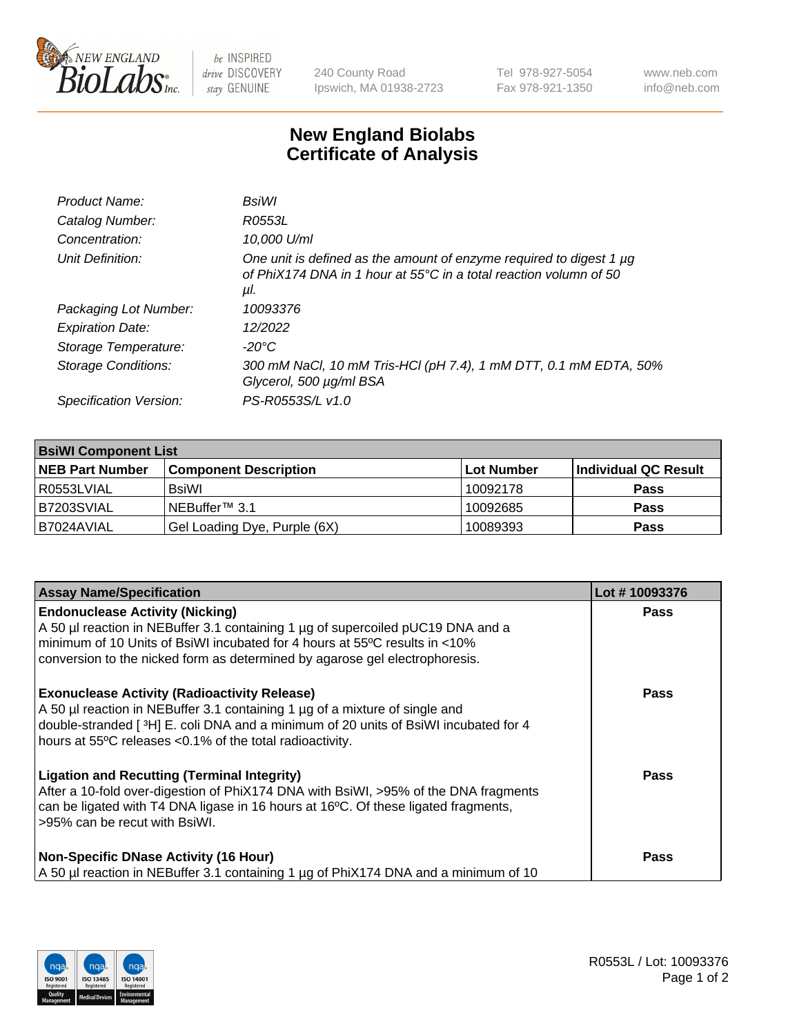

 $be$  INSPIRED drive DISCOVERY stay GENUINE

240 County Road Ipswich, MA 01938-2723 Tel 978-927-5054 Fax 978-921-1350 www.neb.com info@neb.com

## **New England Biolabs Certificate of Analysis**

| Product Name:              | BsiWl                                                                                                                                                     |
|----------------------------|-----------------------------------------------------------------------------------------------------------------------------------------------------------|
| Catalog Number:            | R0553L                                                                                                                                                    |
| Concentration:             | 10,000 U/ml                                                                                                                                               |
| Unit Definition:           | One unit is defined as the amount of enzyme required to digest 1 µg<br>of PhiX174 DNA in 1 hour at $55^{\circ}$ C in a total reaction volumn of 50<br>μl. |
| Packaging Lot Number:      | 10093376                                                                                                                                                  |
| <b>Expiration Date:</b>    | 12/2022                                                                                                                                                   |
| Storage Temperature:       | $-20^{\circ}$ C                                                                                                                                           |
| <b>Storage Conditions:</b> | 300 mM NaCl, 10 mM Tris-HCl (pH 7.4), 1 mM DTT, 0.1 mM EDTA, 50%<br>Glycerol, 500 µg/ml BSA                                                               |
| Specification Version:     | PS-R0553S/L v1.0                                                                                                                                          |

| <b>BsiWI Component List</b> |                              |             |                      |  |
|-----------------------------|------------------------------|-------------|----------------------|--|
| <b>NEB Part Number</b>      | <b>Component Description</b> | ∣Lot Number | Individual QC Result |  |
| R0553LVIAL                  | <b>BsiWI</b>                 | 10092178    | <b>Pass</b>          |  |
| B7203SVIAL                  | NEBuffer <sup>™</sup> 3.1    | 10092685    | <b>Pass</b>          |  |
| B7024AVIAL                  | Gel Loading Dye, Purple (6X) | 10089393    | <b>Pass</b>          |  |

| <b>Assay Name/Specification</b>                                                                                                                                                                                                                                                           | Lot #10093376 |
|-------------------------------------------------------------------------------------------------------------------------------------------------------------------------------------------------------------------------------------------------------------------------------------------|---------------|
| <b>Endonuclease Activity (Nicking)</b><br>A 50 µl reaction in NEBuffer 3.1 containing 1 µg of supercoiled pUC19 DNA and a                                                                                                                                                                 | <b>Pass</b>   |
| minimum of 10 Units of BsiWI incubated for 4 hours at 55°C results in <10%<br>conversion to the nicked form as determined by agarose gel electrophoresis.                                                                                                                                 |               |
| <b>Exonuclease Activity (Radioactivity Release)</b><br>A 50 µl reaction in NEBuffer 3.1 containing 1 µg of a mixture of single and<br>double-stranded [ $3H$ ] E. coli DNA and a minimum of 20 units of BsiWI incubated for 4<br>hours at 55°C releases <0.1% of the total radioactivity. | <b>Pass</b>   |
| <b>Ligation and Recutting (Terminal Integrity)</b><br>After a 10-fold over-digestion of PhiX174 DNA with BsiWI, >95% of the DNA fragments<br>can be ligated with T4 DNA ligase in 16 hours at 16°C. Of these ligated fragments,<br>>95% can be recut with BsiWI.                          | Pass          |
| <b>Non-Specific DNase Activity (16 Hour)</b><br>A 50 µl reaction in NEBuffer 3.1 containing 1 µg of PhiX174 DNA and a minimum of 10                                                                                                                                                       | <b>Pass</b>   |